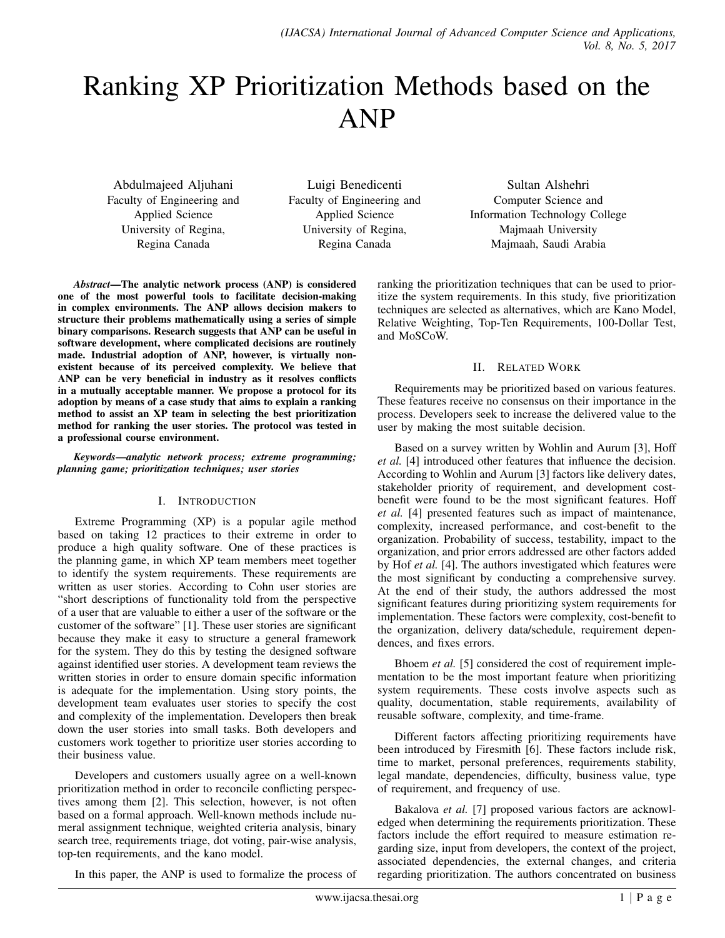# Ranking XP Prioritization Methods based on the ANP

Abdulmajeed Aljuhani Faculty of Engineering and Applied Science University of Regina, Regina Canada

Luigi Benedicenti Faculty of Engineering and Applied Science University of Regina, Regina Canada

Sultan Alshehri Computer Science and Information Technology College Majmaah University Majmaah, Saudi Arabia

*Abstract*—The analytic network process (ANP) is considered one of the most powerful tools to facilitate decision-making in complex environments. The ANP allows decision makers to structure their problems mathematically using a series of simple binary comparisons. Research suggests that ANP can be useful in software development, where complicated decisions are routinely made. Industrial adoption of ANP, however, is virtually nonexistent because of its perceived complexity. We believe that ANP can be very beneficial in industry as it resolves conflicts in a mutually acceptable manner. We propose a protocol for its adoption by means of a case study that aims to explain a ranking method to assist an XP team in selecting the best prioritization method for ranking the user stories. The protocol was tested in a professional course environment.

*Keywords*—*analytic network process; extreme programming; planning game; prioritization techniques; user stories*

#### I. INTRODUCTION

Extreme Programming (XP) is a popular agile method based on taking 12 practices to their extreme in order to produce a high quality software. One of these practices is the planning game, in which XP team members meet together to identify the system requirements. These requirements are written as user stories. According to Cohn user stories are "short descriptions of functionality told from the perspective of a user that are valuable to either a user of the software or the customer of the software" [1]. These user stories are significant because they make it easy to structure a general framework for the system. They do this by testing the designed software against identified user stories. A development team reviews the written stories in order to ensure domain specific information is adequate for the implementation. Using story points, the development team evaluates user stories to specify the cost and complexity of the implementation. Developers then break down the user stories into small tasks. Both developers and customers work together to prioritize user stories according to their business value.

Developers and customers usually agree on a well-known prioritization method in order to reconcile conflicting perspectives among them [2]. This selection, however, is not often based on a formal approach. Well-known methods include numeral assignment technique, weighted criteria analysis, binary search tree, requirements triage, dot voting, pair-wise analysis, top-ten requirements, and the kano model.

In this paper, the ANP is used to formalize the process of

ranking the prioritization techniques that can be used to prioritize the system requirements. In this study, five prioritization techniques are selected as alternatives, which are Kano Model, Relative Weighting, Top-Ten Requirements, 100-Dollar Test, and MoSCoW.

#### II. RELATED WORK

Requirements may be prioritized based on various features. These features receive no consensus on their importance in the process. Developers seek to increase the delivered value to the user by making the most suitable decision.

Based on a survey written by Wohlin and Aurum [3], Hoff *et al.* [4] introduced other features that influence the decision. According to Wohlin and Aurum [3] factors like delivery dates, stakeholder priority of requirement, and development costbenefit were found to be the most significant features. Hoff *et al.* [4] presented features such as impact of maintenance, complexity, increased performance, and cost-benefit to the organization. Probability of success, testability, impact to the organization, and prior errors addressed are other factors added by Hof *et al.* [4]. The authors investigated which features were the most significant by conducting a comprehensive survey. At the end of their study, the authors addressed the most significant features during prioritizing system requirements for implementation. These factors were complexity, cost-benefit to the organization, delivery data/schedule, requirement dependences, and fixes errors.

Bhoem *et al.* [5] considered the cost of requirement implementation to be the most important feature when prioritizing system requirements. These costs involve aspects such as quality, documentation, stable requirements, availability of reusable software, complexity, and time-frame.

Different factors affecting prioritizing requirements have been introduced by Firesmith [6]. These factors include risk, time to market, personal preferences, requirements stability, legal mandate, dependencies, difficulty, business value, type of requirement, and frequency of use.

Bakalova *et al.* [7] proposed various factors are acknowledged when determining the requirements prioritization. These factors include the effort required to measure estimation regarding size, input from developers, the context of the project, associated dependencies, the external changes, and criteria regarding prioritization. The authors concentrated on business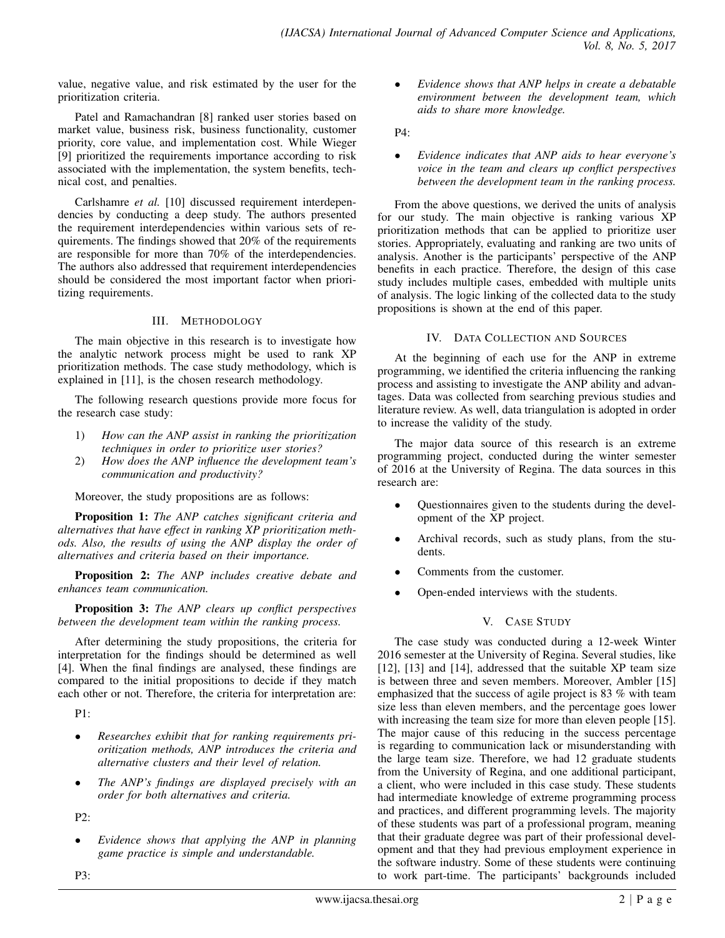value, negative value, and risk estimated by the user for the prioritization criteria.

Patel and Ramachandran [8] ranked user stories based on market value, business risk, business functionality, customer priority, core value, and implementation cost. While Wieger [9] prioritized the requirements importance according to risk associated with the implementation, the system benefits, technical cost, and penalties.

Carlshamre *et al.* [10] discussed requirement interdependencies by conducting a deep study. The authors presented the requirement interdependencies within various sets of requirements. The findings showed that 20% of the requirements are responsible for more than 70% of the interdependencies. The authors also addressed that requirement interdependencies should be considered the most important factor when prioritizing requirements.

#### III. METHODOLOGY

The main objective in this research is to investigate how the analytic network process might be used to rank XP prioritization methods. The case study methodology, which is explained in [11], is the chosen research methodology.

The following research questions provide more focus for the research case study:

- 1) *How can the ANP assist in ranking the prioritization techniques in order to prioritize user stories?*
- 2) *How does the ANP influence the development team's communication and productivity?*

Moreover, the study propositions are as follows:

Proposition 1: *The ANP catches significant criteria and alternatives that have effect in ranking XP prioritization methods. Also, the results of using the ANP display the order of alternatives and criteria based on their importance.*

Proposition 2: *The ANP includes creative debate and enhances team communication.*

Proposition 3: *The ANP clears up conflict perspectives between the development team within the ranking process.*

After determining the study propositions, the criteria for interpretation for the findings should be determined as well [4]. When the final findings are analysed, these findings are compared to the initial propositions to decide if they match each other or not. Therefore, the criteria for interpretation are:

 $P1$ 

- *Researches exhibit that for ranking requirements prioritization methods, ANP introduces the criteria and alternative clusters and their level of relation.*
- *The ANP's findings are displayed precisely with an order for both alternatives and criteria.*

P2:

• *Evidence shows that applying the ANP in planning game practice is simple and understandable.*

• *Evidence shows that ANP helps in create a debatable environment between the development team, which aids to share more knowledge.*

P4:

• *Evidence indicates that ANP aids to hear everyone's voice in the team and clears up conflict perspectives between the development team in the ranking process.*

From the above questions, we derived the units of analysis for our study. The main objective is ranking various XP prioritization methods that can be applied to prioritize user stories. Appropriately, evaluating and ranking are two units of analysis. Another is the participants' perspective of the ANP benefits in each practice. Therefore, the design of this case study includes multiple cases, embedded with multiple units of analysis. The logic linking of the collected data to the study propositions is shown at the end of this paper.

# IV. DATA COLLECTION AND SOURCES

At the beginning of each use for the ANP in extreme programming, we identified the criteria influencing the ranking process and assisting to investigate the ANP ability and advantages. Data was collected from searching previous studies and literature review. As well, data triangulation is adopted in order to increase the validity of the study.

The major data source of this research is an extreme programming project, conducted during the winter semester of 2016 at the University of Regina. The data sources in this research are:

- Questionnaires given to the students during the development of the XP project.
- Archival records, such as study plans, from the students.
- Comments from the customer.
- Open-ended interviews with the students.

# V. CASE STUDY

The case study was conducted during a 12-week Winter 2016 semester at the University of Regina. Several studies, like [12], [13] and [14], addressed that the suitable XP team size is between three and seven members. Moreover, Ambler [15] emphasized that the success of agile project is 83 % with team size less than eleven members, and the percentage goes lower with increasing the team size for more than eleven people [15]. The major cause of this reducing in the success percentage is regarding to communication lack or misunderstanding with the large team size. Therefore, we had 12 graduate students from the University of Regina, and one additional participant, a client, who were included in this case study. These students had intermediate knowledge of extreme programming process and practices, and different programming levels. The majority of these students was part of a professional program, meaning that their graduate degree was part of their professional development and that they had previous employment experience in the software industry. Some of these students were continuing to work part-time. The participants' backgrounds included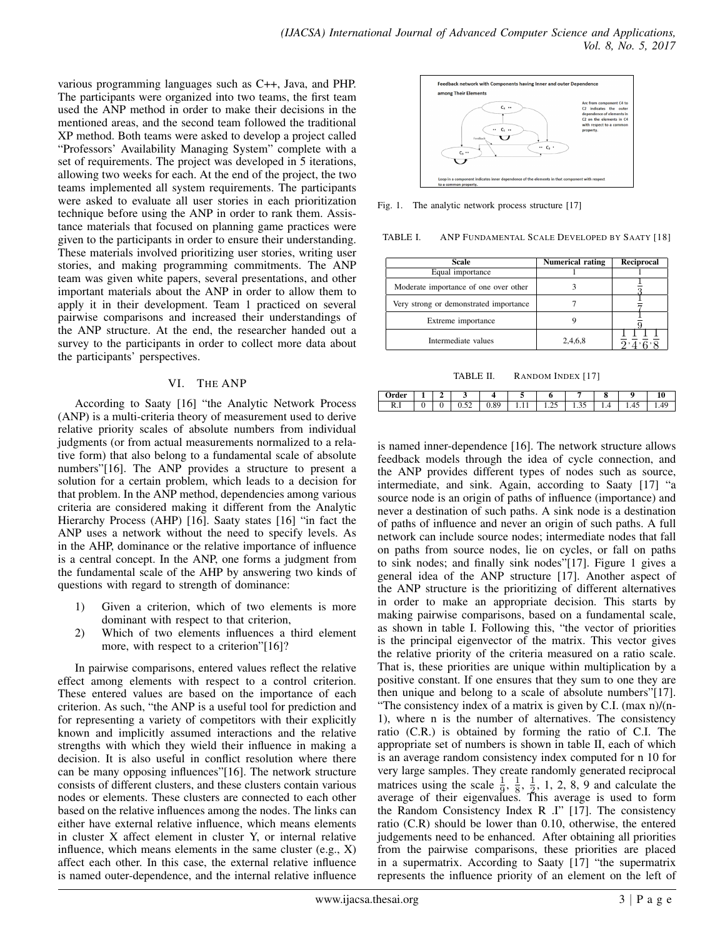various programming languages such as C++, Java, and PHP. The participants were organized into two teams, the first team used the ANP method in order to make their decisions in the mentioned areas, and the second team followed the traditional XP method. Both teams were asked to develop a project called "Professors' Availability Managing System" complete with a set of requirements. The project was developed in 5 iterations, allowing two weeks for each. At the end of the project, the two teams implemented all system requirements. The participants were asked to evaluate all user stories in each prioritization technique before using the ANP in order to rank them. Assistance materials that focused on planning game practices were given to the participants in order to ensure their understanding. These materials involved prioritizing user stories, writing user stories, and making programming commitments. The ANP team was given white papers, several presentations, and other important materials about the ANP in order to allow them to apply it in their development. Team 1 practiced on several pairwise comparisons and increased their understandings of the ANP structure. At the end, the researcher handed out a survey to the participants in order to collect more data about the participants' perspectives.

#### VI. THE ANP

According to Saaty [16] "the Analytic Network Process (ANP) is a multi-criteria theory of measurement used to derive relative priority scales of absolute numbers from individual judgments (or from actual measurements normalized to a relative form) that also belong to a fundamental scale of absolute numbers"[16]. The ANP provides a structure to present a solution for a certain problem, which leads to a decision for that problem. In the ANP method, dependencies among various criteria are considered making it different from the Analytic Hierarchy Process (AHP) [16]. Saaty states [16] "in fact the ANP uses a network without the need to specify levels. As in the AHP, dominance or the relative importance of influence is a central concept. In the ANP, one forms a judgment from the fundamental scale of the AHP by answering two kinds of questions with regard to strength of dominance:

- 1) Given a criterion, which of two elements is more dominant with respect to that criterion,
- 2) Which of two elements influences a third element more, with respect to a criterion"[16]?

In pairwise comparisons, entered values reflect the relative effect among elements with respect to a control criterion. These entered values are based on the importance of each criterion. As such, "the ANP is a useful tool for prediction and for representing a variety of competitors with their explicitly known and implicitly assumed interactions and the relative strengths with which they wield their influence in making a decision. It is also useful in conflict resolution where there can be many opposing influences"[16]. The network structure consists of different clusters, and these clusters contain various nodes or elements. These clusters are connected to each other based on the relative influences among the nodes. The links can either have external relative influence, which means elements in cluster X affect element in cluster Y, or internal relative influence, which means elements in the same cluster (e.g., X) affect each other. In this case, the external relative influence is named outer-dependence, and the internal relative influence



Fig. 1. The analytic network process structure [17]

TABLE I. ANP FUNDAMENTAL SCALE DEVELOPED BY SAATY [18]

| Scale                                  | <b>Numerical rating</b> | Reciprocal |
|----------------------------------------|-------------------------|------------|
| Equal importance                       |                         |            |
| Moderate importance of one over other  |                         |            |
| Very strong or demonstrated importance |                         |            |
| Extreme importance                     |                         |            |
| Intermediate values                    | 2,4,6,8                 |            |

TABLE II. RANDOM INDEX [17]

| $\sim$<br>ucı |   | ∼ |          |                |   | u          |        | о |      |                 |
|---------------|---|---|----------|----------------|---|------------|--------|---|------|-----------------|
| D<br>K.1      | ◟ | v | ے ب<br>ິ | oσ<br>$\cdots$ | . | .<br>- - - | ر ر. د | . | 1.7J | $\epsilon$<br>. |

is named inner-dependence [16]. The network structure allows feedback models through the idea of cycle connection, and the ANP provides different types of nodes such as source, intermediate, and sink. Again, according to Saaty [17] "a source node is an origin of paths of influence (importance) and never a destination of such paths. A sink node is a destination of paths of influence and never an origin of such paths. A full network can include source nodes; intermediate nodes that fall on paths from source nodes, lie on cycles, or fall on paths to sink nodes; and finally sink nodes"[17]. Figure 1 gives a general idea of the ANP structure [17]. Another aspect of the ANP structure is the prioritizing of different alternatives in order to make an appropriate decision. This starts by making pairwise comparisons, based on a fundamental scale, as shown in table I. Following this, "the vector of priorities is the principal eigenvector of the matrix. This vector gives the relative priority of the criteria measured on a ratio scale. That is, these priorities are unique within multiplication by a positive constant. If one ensures that they sum to one they are then unique and belong to a scale of absolute numbers"[17]. "The consistency index of a matrix is given by C.I. (max n)/(n-1), where n is the number of alternatives. The consistency ratio (C.R.) is obtained by forming the ratio of C.I. The appropriate set of numbers is shown in table II, each of which is an average random consistency index computed for n 10 for very large samples. They create randomly generated reciprocal matrices using the scale  $\frac{1}{9}$ ,  $\frac{1}{8}$  $\frac{1}{8}, \frac{1}{2}$  $\frac{1}{2}$ , 1, 2, 8, 9 and calculate the average of their eigenvalues. This average is used to form the Random Consistency Index R .I" [17]. The consistency ratio (C.R) should be lower than 0.10, otherwise, the entered judgements need to be enhanced. After obtaining all priorities from the pairwise comparisons, these priorities are placed in a supermatrix. According to Saaty [17] "the supermatrix represents the influence priority of an element on the left of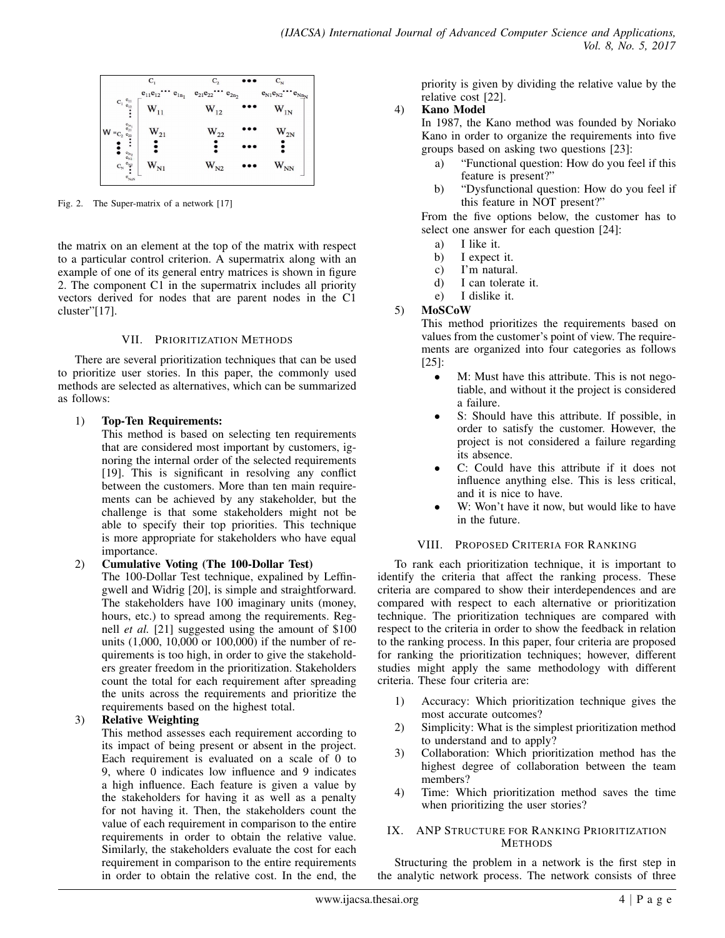

Fig. 2. The Super-matrix of a network [17]

the matrix on an element at the top of the matrix with respect to a particular control criterion. A supermatrix along with an example of one of its general entry matrices is shown in figure 2. The component C1 in the supermatrix includes all priority vectors derived for nodes that are parent nodes in the C1 cluster"[17].

#### VII. PRIORITIZATION METHODS

There are several prioritization techniques that can be used to prioritize user stories. In this paper, the commonly used methods are selected as alternatives, which can be summarized as follows:

#### 1) Top-Ten Requirements:

This method is based on selecting ten requirements that are considered most important by customers, ignoring the internal order of the selected requirements [19]. This is significant in resolving any conflict between the customers. More than ten main requirements can be achieved by any stakeholder, but the challenge is that some stakeholders might not be able to specify their top priorities. This technique is more appropriate for stakeholders who have equal importance.

## 2) Cumulative Voting (The 100-Dollar Test)

The 100-Dollar Test technique, expalined by Leffingwell and Widrig [20], is simple and straightforward. The stakeholders have 100 imaginary units (money, hours, etc.) to spread among the requirements. Regnell *et al.* [21] suggested using the amount of \$100 units (1,000, 10,000 or 100,000) if the number of requirements is too high, in order to give the stakeholders greater freedom in the prioritization. Stakeholders count the total for each requirement after spreading the units across the requirements and prioritize the requirements based on the highest total.

## 3) Relative Weighting

This method assesses each requirement according to its impact of being present or absent in the project. Each requirement is evaluated on a scale of 0 to 9, where 0 indicates low influence and 9 indicates a high influence. Each feature is given a value by the stakeholders for having it as well as a penalty for not having it. Then, the stakeholders count the value of each requirement in comparison to the entire requirements in order to obtain the relative value. Similarly, the stakeholders evaluate the cost for each requirement in comparison to the entire requirements in order to obtain the relative cost. In the end, the priority is given by dividing the relative value by the relative cost [22].

## 4) Kano Model

In 1987, the Kano method was founded by Noriako Kano in order to organize the requirements into five groups based on asking two questions [23]:

- a) "Functional question: How do you feel if this feature is present?"
- b) "Dysfunctional question: How do you feel if this feature in NOT present?"

From the five options below, the customer has to select one answer for each question [24]:

- a) I like it.
- b) I expect it.
- c) I'm natural.
- d) I can tolerate it.
- e) I dislike it.

# 5) MoSCoW

This method prioritizes the requirements based on values from the customer's point of view. The requirements are organized into four categories as follows [25]:

- M: Must have this attribute. This is not negotiable, and without it the project is considered a failure.
- S: Should have this attribute. If possible, in order to satisfy the customer. However, the project is not considered a failure regarding its absence.
- C: Could have this attribute if it does not influence anything else. This is less critical, and it is nice to have.
- W: Won't have it now, but would like to have in the future.

## VIII. PROPOSED CRITERIA FOR RANKING

To rank each prioritization technique, it is important to identify the criteria that affect the ranking process. These criteria are compared to show their interdependences and are compared with respect to each alternative or prioritization technique. The prioritization techniques are compared with respect to the criteria in order to show the feedback in relation to the ranking process. In this paper, four criteria are proposed for ranking the prioritization techniques; however, different studies might apply the same methodology with different criteria. These four criteria are:

- 1) Accuracy: Which prioritization technique gives the most accurate outcomes?
- 2) Simplicity: What is the simplest prioritization method to understand and to apply?
- 3) Collaboration: Which prioritization method has the highest degree of collaboration between the team members?
- 4) Time: Which prioritization method saves the time when prioritizing the user stories?

#### IX. ANP STRUCTURE FOR RANKING PRIORITIZATION METHODS

Structuring the problem in a network is the first step in the analytic network process. The network consists of three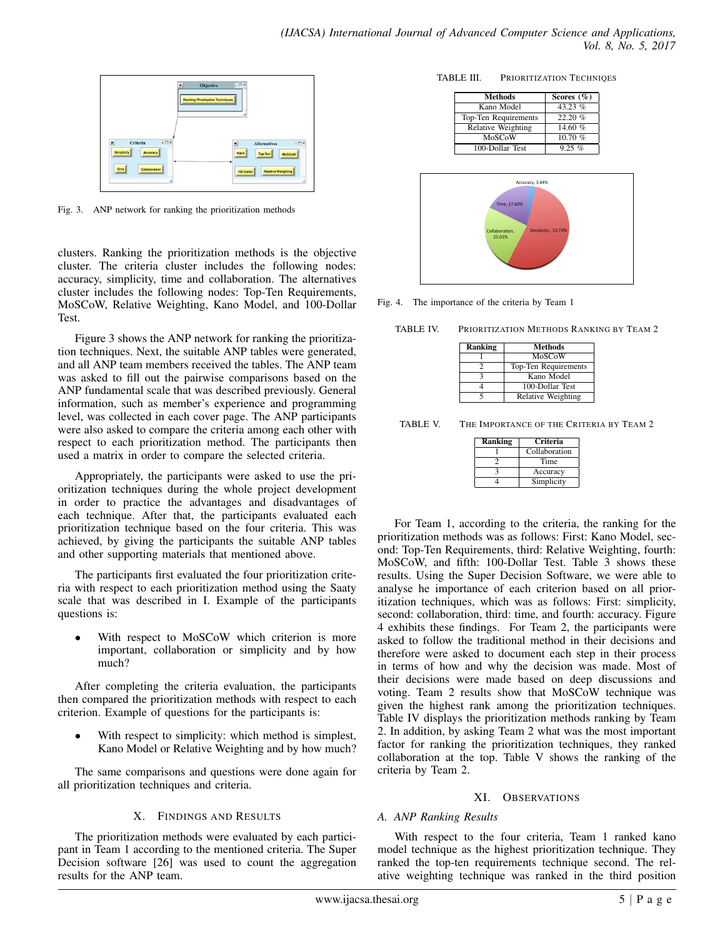

Fig. 3. ANP network for ranking the prioritization methods

clusters. Ranking the prioritization methods is the objective cluster. The criteria cluster includes the following nodes: accuracy, simplicity, time and collaboration. The alternatives cluster includes the following nodes: Top-Ten Requirements, MoSCoW, Relative Weighting, Kano Model, and 100-Dollar **Test** 

Figure 3 shows the ANP network for ranking the prioritization techniques. Next, the suitable ANP tables were generated, and all ANP team members received the tables. The ANP team was asked to fill out the pairwise comparisons based on the ANP fundamental scale that was described previously. General information, such as member's experience and programming level, was collected in each cover page. The ANP participants were also asked to compare the criteria among each other with respect to each prioritization method. The participants then used a matrix in order to compare the selected criteria.

Appropriately, the participants were asked to use the prioritization techniques during the whole project development in order to practice the advantages and disadvantages of each technique. After that, the participants evaluated each prioritization technique based on the four criteria. This was achieved, by giving the participants the suitable ANP tables and other supporting materials that mentioned above.

The participants first evaluated the four prioritization criteria with respect to each prioritization method using the Saaty scale that was described in I. Example of the participants questions is:

With respect to MoSCoW which criterion is more important, collaboration or simplicity and by how much?

After completing the criteria evaluation, the participants then compared the prioritization methods with respect to each criterion. Example of questions for the participants is:

With respect to simplicity: which method is simplest, Kano Model or Relative Weighting and by how much?

The same comparisons and questions were done again for all prioritization techniques and criteria.

## X. FINDINGS AND RESULTS

The prioritization methods were evaluated by each participant in Team 1 according to the mentioned criteria. The Super Decision software [26] was used to count the aggregation results for the ANP team.

TABLE III. PRIORITIZATION TECHNIQES

| <b>Methods</b>              | Scores $(\%)$ |
|-----------------------------|---------------|
| Kano Model                  | 43.23%        |
| <b>Top-Ten Requirements</b> | 22.20%        |
| <b>Relative Weighting</b>   | 14.60%        |
| MoSCoW                      | 10.70 %       |
| 100-Dollar Test             | $9.25\%$      |



Fig. 4. The importance of the criteria by Team 1

TABLE IV. PRIORITIZATION METHODS RANKING BY TEAM 2

| <b>Ranking</b> | <b>Methods</b>       |
|----------------|----------------------|
|                | MoSCoW               |
|                | Top-Ten Requirements |
|                | Kano Model           |
|                | 100-Dollar Test      |
|                | Relative Weighting   |

TABLE V. THE IMPORTANCE OF THE CRITERIA BY TEAM 2

| Ranking | Criteria      |
|---------|---------------|
|         | Collaboration |
|         | Time          |
|         | Accuracy      |
|         | Simplicity    |

For Team 1, according to the criteria, the ranking for the prioritization methods was as follows: First: Kano Model, second: Top-Ten Requirements, third: Relative Weighting, fourth: MoSCoW, and fifth: 100-Dollar Test. Table 3 shows these results. Using the Super Decision Software, we were able to analyse he importance of each criterion based on all prioritization techniques, which was as follows: First: simplicity, second: collaboration, third: time, and fourth: accuracy. Figure 4 exhibits these findings. For Team 2, the participants were asked to follow the traditional method in their decisions and therefore were asked to document each step in their process in terms of how and why the decision was made. Most of their decisions were made based on deep discussions and voting. Team 2 results show that MoSCoW technique was given the highest rank among the prioritization techniques. Table IV displays the prioritization methods ranking by Team 2. In addition, by asking Team 2 what was the most important factor for ranking the prioritization techniques, they ranked collaboration at the top. Table V shows the ranking of the criteria by Team 2.

## XI. OBSERVATIONS

## *A. ANP Ranking Results*

With respect to the four criteria, Team 1 ranked kano model technique as the highest prioritization technique. They ranked the top-ten requirements technique second. The relative weighting technique was ranked in the third position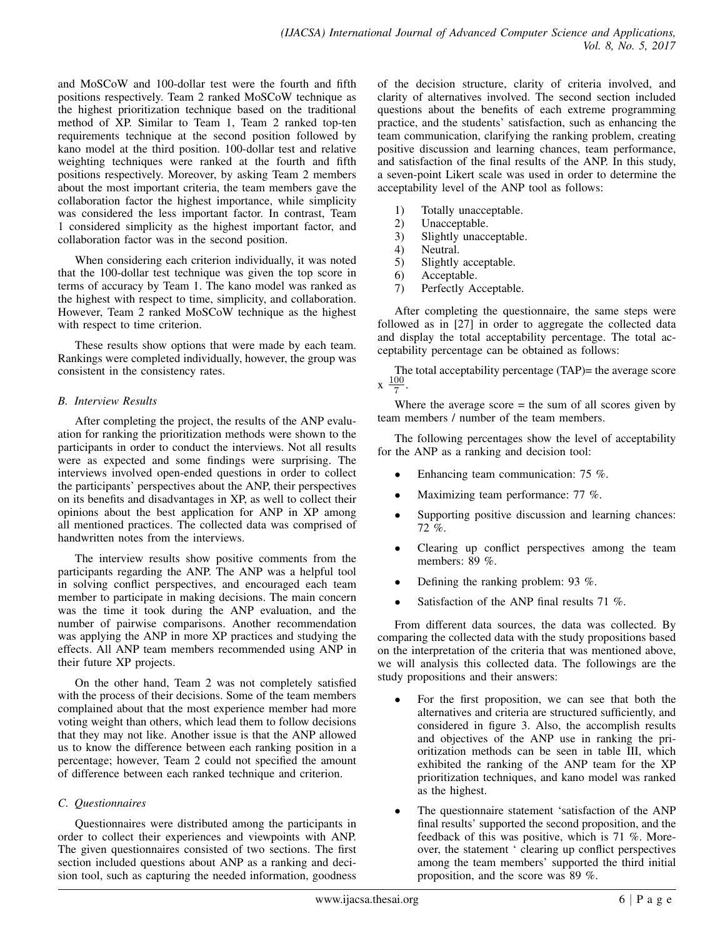and MoSCoW and 100-dollar test were the fourth and fifth positions respectively. Team 2 ranked MoSCoW technique as the highest prioritization technique based on the traditional method of XP. Similar to Team 1, Team 2 ranked top-ten requirements technique at the second position followed by kano model at the third position. 100-dollar test and relative weighting techniques were ranked at the fourth and fifth positions respectively. Moreover, by asking Team 2 members about the most important criteria, the team members gave the collaboration factor the highest importance, while simplicity was considered the less important factor. In contrast, Team 1 considered simplicity as the highest important factor, and collaboration factor was in the second position.

When considering each criterion individually, it was noted that the 100-dollar test technique was given the top score in terms of accuracy by Team 1. The kano model was ranked as the highest with respect to time, simplicity, and collaboration. However, Team 2 ranked MoSCoW technique as the highest with respect to time criterion.

These results show options that were made by each team. Rankings were completed individually, however, the group was consistent in the consistency rates.

# *B. Interview Results*

After completing the project, the results of the ANP evaluation for ranking the prioritization methods were shown to the participants in order to conduct the interviews. Not all results were as expected and some findings were surprising. The interviews involved open-ended questions in order to collect the participants' perspectives about the ANP, their perspectives on its benefits and disadvantages in XP, as well to collect their opinions about the best application for ANP in XP among all mentioned practices. The collected data was comprised of handwritten notes from the interviews.

The interview results show positive comments from the participants regarding the ANP. The ANP was a helpful tool in solving conflict perspectives, and encouraged each team member to participate in making decisions. The main concern was the time it took during the ANP evaluation, and the number of pairwise comparisons. Another recommendation was applying the ANP in more XP practices and studying the effects. All ANP team members recommended using ANP in their future XP projects.

On the other hand, Team 2 was not completely satisfied with the process of their decisions. Some of the team members complained about that the most experience member had more voting weight than others, which lead them to follow decisions that they may not like. Another issue is that the ANP allowed us to know the difference between each ranking position in a percentage; however, Team 2 could not specified the amount of difference between each ranked technique and criterion.

# *C. Questionnaires*

Questionnaires were distributed among the participants in order to collect their experiences and viewpoints with ANP. The given questionnaires consisted of two sections. The first section included questions about ANP as a ranking and decision tool, such as capturing the needed information, goodness of the decision structure, clarity of criteria involved, and clarity of alternatives involved. The second section included questions about the benefits of each extreme programming practice, and the students' satisfaction, such as enhancing the team communication, clarifying the ranking problem, creating positive discussion and learning chances, team performance, and satisfaction of the final results of the ANP. In this study, a seven-point Likert scale was used in order to determine the acceptability level of the ANP tool as follows:

- 1) Totally unacceptable.
- 2) Unacceptable.
- 3) Slightly unacceptable.
- 4) Neutral.
- 5) Slightly acceptable.
- 6) Acceptable.
- 7) Perfectly Acceptable.

After completing the questionnaire, the same steps were followed as in [27] in order to aggregate the collected data and display the total acceptability percentage. The total acceptability percentage can be obtained as follows:

The total acceptability percentage (TAP)= the average score x 100 7 .

Where the average score  $=$  the sum of all scores given by team members / number of the team members.

The following percentages show the level of acceptability for the ANP as a ranking and decision tool:

- Enhancing team communication: 75 %.
- Maximizing team performance: 77 %.
- Supporting positive discussion and learning chances: 72 %.
- Clearing up conflict perspectives among the team members: 89 %.
- Defining the ranking problem: 93 %.
- Satisfaction of the ANP final results 71 %.

From different data sources, the data was collected. By comparing the collected data with the study propositions based on the interpretation of the criteria that was mentioned above, we will analysis this collected data. The followings are the study propositions and their answers:

- For the first proposition, we can see that both the alternatives and criteria are structured sufficiently, and considered in figure 3. Also, the accomplish results and objectives of the ANP use in ranking the prioritization methods can be seen in table III, which exhibited the ranking of the ANP team for the XP prioritization techniques, and kano model was ranked as the highest.
- The questionnaire statement 'satisfaction of the ANP final results' supported the second proposition, and the feedback of this was positive, which is 71 %. Moreover, the statement ' clearing up conflict perspectives among the team members' supported the third initial proposition, and the score was 89 %.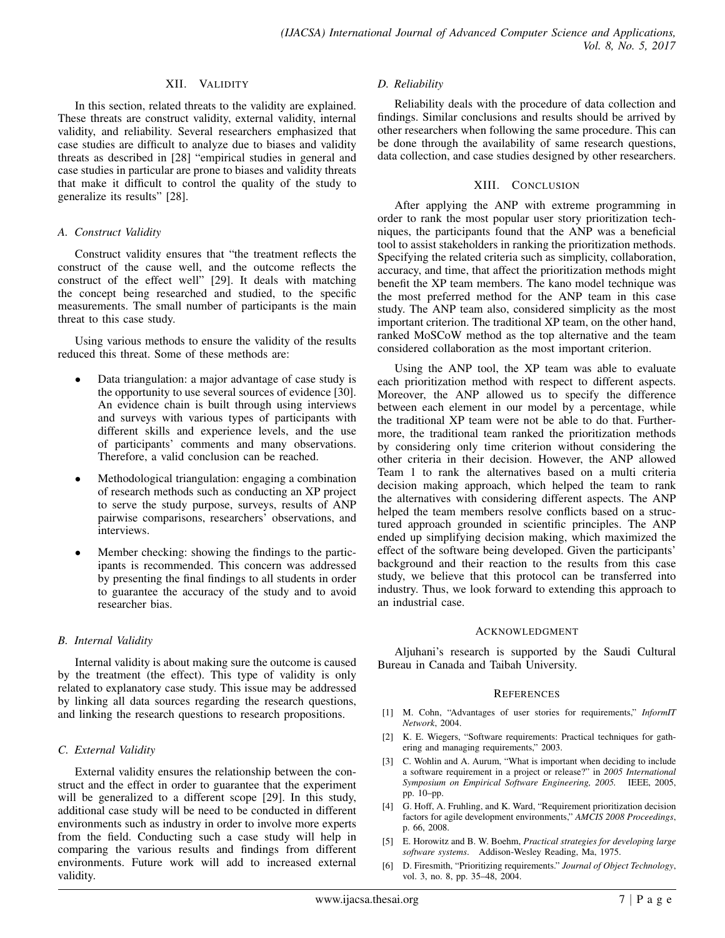#### XII. VALIDITY

In this section, related threats to the validity are explained. These threats are construct validity, external validity, internal validity, and reliability. Several researchers emphasized that case studies are difficult to analyze due to biases and validity threats as described in [28] "empirical studies in general and case studies in particular are prone to biases and validity threats that make it difficult to control the quality of the study to generalize its results" [28].

#### *A. Construct Validity*

Construct validity ensures that "the treatment reflects the construct of the cause well, and the outcome reflects the construct of the effect well" [29]. It deals with matching the concept being researched and studied, to the specific measurements. The small number of participants is the main threat to this case study.

Using various methods to ensure the validity of the results reduced this threat. Some of these methods are:

- Data triangulation: a major advantage of case study is the opportunity to use several sources of evidence [30]. An evidence chain is built through using interviews and surveys with various types of participants with different skills and experience levels, and the use of participants' comments and many observations. Therefore, a valid conclusion can be reached.
- Methodological triangulation: engaging a combination of research methods such as conducting an XP project to serve the study purpose, surveys, results of ANP pairwise comparisons, researchers' observations, and interviews.
- Member checking: showing the findings to the participants is recommended. This concern was addressed by presenting the final findings to all students in order to guarantee the accuracy of the study and to avoid researcher bias.

## *B. Internal Validity*

Internal validity is about making sure the outcome is caused by the treatment (the effect). This type of validity is only related to explanatory case study. This issue may be addressed by linking all data sources regarding the research questions, and linking the research questions to research propositions.

## *C. External Validity*

External validity ensures the relationship between the construct and the effect in order to guarantee that the experiment will be generalized to a different scope [29]. In this study, additional case study will be need to be conducted in different environments such as industry in order to involve more experts from the field. Conducting such a case study will help in comparing the various results and findings from different environments. Future work will add to increased external validity.

#### *D. Reliability*

Reliability deals with the procedure of data collection and findings. Similar conclusions and results should be arrived by other researchers when following the same procedure. This can be done through the availability of same research questions, data collection, and case studies designed by other researchers.

#### XIII. CONCLUSION

After applying the ANP with extreme programming in order to rank the most popular user story prioritization techniques, the participants found that the ANP was a beneficial tool to assist stakeholders in ranking the prioritization methods. Specifying the related criteria such as simplicity, collaboration, accuracy, and time, that affect the prioritization methods might benefit the XP team members. The kano model technique was the most preferred method for the ANP team in this case study. The ANP team also, considered simplicity as the most important criterion. The traditional XP team, on the other hand, ranked MoSCoW method as the top alternative and the team considered collaboration as the most important criterion.

Using the ANP tool, the XP team was able to evaluate each prioritization method with respect to different aspects. Moreover, the ANP allowed us to specify the difference between each element in our model by a percentage, while the traditional XP team were not be able to do that. Furthermore, the traditional team ranked the prioritization methods by considering only time criterion without considering the other criteria in their decision. However, the ANP allowed Team 1 to rank the alternatives based on a multi criteria decision making approach, which helped the team to rank the alternatives with considering different aspects. The ANP helped the team members resolve conflicts based on a structured approach grounded in scientific principles. The ANP ended up simplifying decision making, which maximized the effect of the software being developed. Given the participants' background and their reaction to the results from this case study, we believe that this protocol can be transferred into industry. Thus, we look forward to extending this approach to an industrial case.

#### ACKNOWLEDGMENT

Aljuhani's research is supported by the Saudi Cultural Bureau in Canada and Taibah University.

#### **REFERENCES**

- [1] M. Cohn, "Advantages of user stories for requirements," *InformIT Network*, 2004.
- [2] K. E. Wiegers, "Software requirements: Practical techniques for gathering and managing requirements," 2003.
- [3] C. Wohlin and A. Aurum, "What is important when deciding to include a software requirement in a project or release?" in *2005 International Symposium on Empirical Software Engineering, 2005.* IEEE, 2005, pp. 10–pp.
- [4] G. Hoff, A. Fruhling, and K. Ward, "Requirement prioritization decision factors for agile development environments," *AMCIS 2008 Proceedings*, p. 66, 2008.
- [5] E. Horowitz and B. W. Boehm, *Practical strategies for developing large software systems*. Addison-Wesley Reading, Ma, 1975.
- [6] D. Firesmith, "Prioritizing requirements." *Journal of Object Technology*, vol. 3, no. 8, pp. 35–48, 2004.